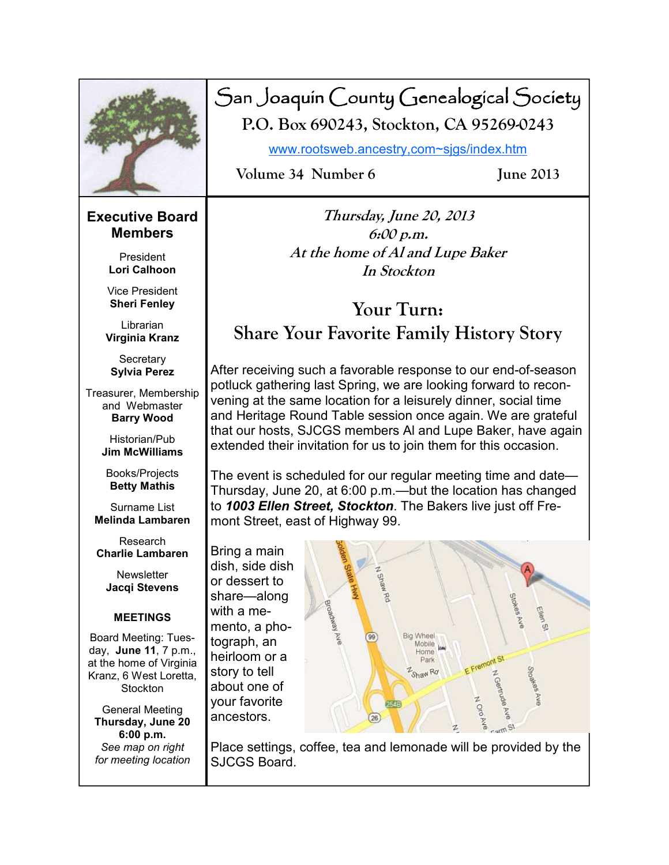

## San Joaquin County Genealogical Society **P.O. Box 690243, Stockton, CA 95269-0243**

www.rootsweb.ancestry,com~sjgs/index.htm

**Volume 34 Number 6 June 2013** 

#### **Executive Board Members**

President **Lori Calhoon** 

Vice President **Sheri Fenley** 

Librarian **Virginia Kranz** 

**Secretary Sylvia Perez** 

Treasurer, Membership and Webmaster **Barry Wood** 

> Historian/Pub **Jim McWilliams**

Books/Projects **Betty Mathis** 

Surname List **Melinda Lambaren** 

Research **Charlie Lambaren** 

**Newsletter Jacqi Stevens** 

#### **MEETINGS**

Board Meeting: Tuesday, **June 11**, 7 p.m., at the home of Virginia Kranz, 6 West Loretta, **Stockton** 

General Meeting **Thursday, June 20 6:00 p.m.**  *See map on right for meeting location* 

**Thursday, June 20, 2013 6:00 p.m. At the home of Al and Lupe Baker In Stockton** 

## **Your Turn: Share Your Favorite Family History Story**

After receiving such a favorable response to our end-of-season potluck gathering last Spring, we are looking forward to reconvening at the same location for a leisurely dinner, social time and Heritage Round Table session once again. We are grateful that our hosts, SJCGS members Al and Lupe Baker, have again extended their invitation for us to join them for this occasion.

The event is scheduled for our regular meeting time and date— Thursday, June 20, at 6:00 p.m.—but the location has changed to *1003 Ellen Street, Stockton*. The Bakers live just off Fremont Street, east of Highway 99.

Bring a main dish, side dish or dessert to share—along with a memento, a photograph, an heirloom or a story to tell about one of your favorite ancestors.



Place settings, coffee, tea and lemonade will be provided by the SJCGS Board.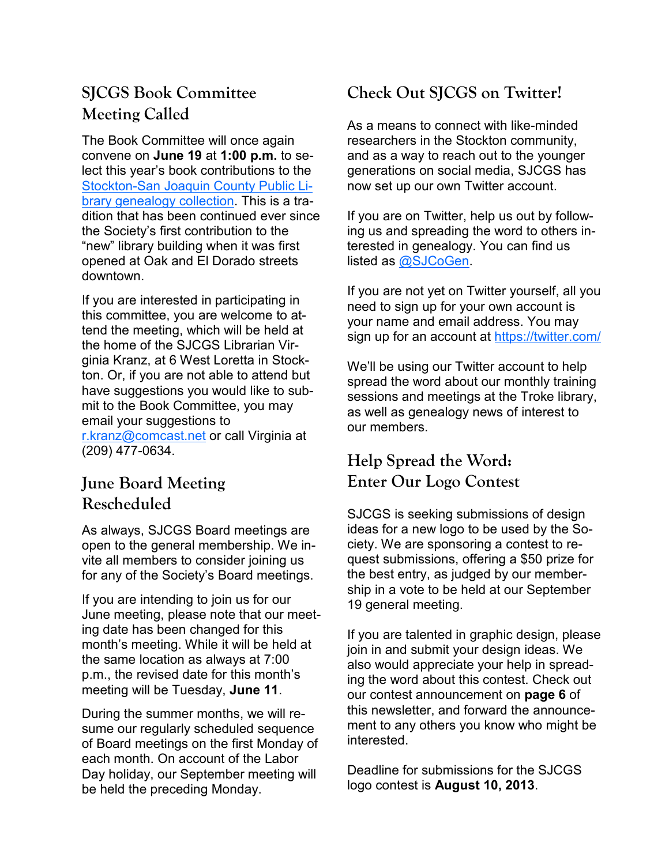## **SJCGS Book Committee Meeting Called**

The Book Committee will once again convene on **June 19** at **1:00 p.m.** to select this year's book contributions to the Stockton-San Joaquin County Public Library genealogy collection. This is a tradition that has been continued ever since the Society's first contribution to the "new" library building when it was first opened at Oak and El Dorado streets downtown.

If you are interested in participating in this committee, you are welcome to attend the meeting, which will be held at the home of the SJCGS Librarian Virginia Kranz, at 6 West Loretta in Stockton. Or, if you are not able to attend but have suggestions you would like to submit to the Book Committee, you may email your suggestions to r.kranz@comcast.net or call Virginia at (209) 477-0634.

## **June Board Meeting Rescheduled**

As always, SJCGS Board meetings are open to the general membership. We invite all members to consider joining us for any of the Society's Board meetings.

If you are intending to join us for our June meeting, please note that our meeting date has been changed for this month's meeting. While it will be held at the same location as always at 7:00 p.m., the revised date for this month's meeting will be Tuesday, **June 11**.

During the summer months, we will resume our regularly scheduled sequence of Board meetings on the first Monday of each month. On account of the Labor Day holiday, our September meeting will be held the preceding Monday.

## **Check Out SJCGS on Twitter!**

As a means to connect with like-minded researchers in the Stockton community, and as a way to reach out to the younger generations on social media, SJCGS has now set up our own Twitter account.

If you are on Twitter, help us out by following us and spreading the word to others interested in genealogy. You can find us listed as @SJCoGen.

If you are not yet on Twitter yourself, all you need to sign up for your own account is your name and email address. You may sign up for an account at https://twitter.com/

We'll be using our Twitter account to help spread the word about our monthly training sessions and meetings at the Troke library, as well as genealogy news of interest to our members.

## **Help Spread the Word: Enter Our Logo Contest**

SJCGS is seeking submissions of design ideas for a new logo to be used by the Society. We are sponsoring a contest to request submissions, offering a \$50 prize for the best entry, as judged by our membership in a vote to be held at our September 19 general meeting.

If you are talented in graphic design, please join in and submit your design ideas. We also would appreciate your help in spreading the word about this contest. Check out our contest announcement on **page 6** of this newsletter, and forward the announcement to any others you know who might be interested.

Deadline for submissions for the SJCGS logo contest is **August 10, 2013**.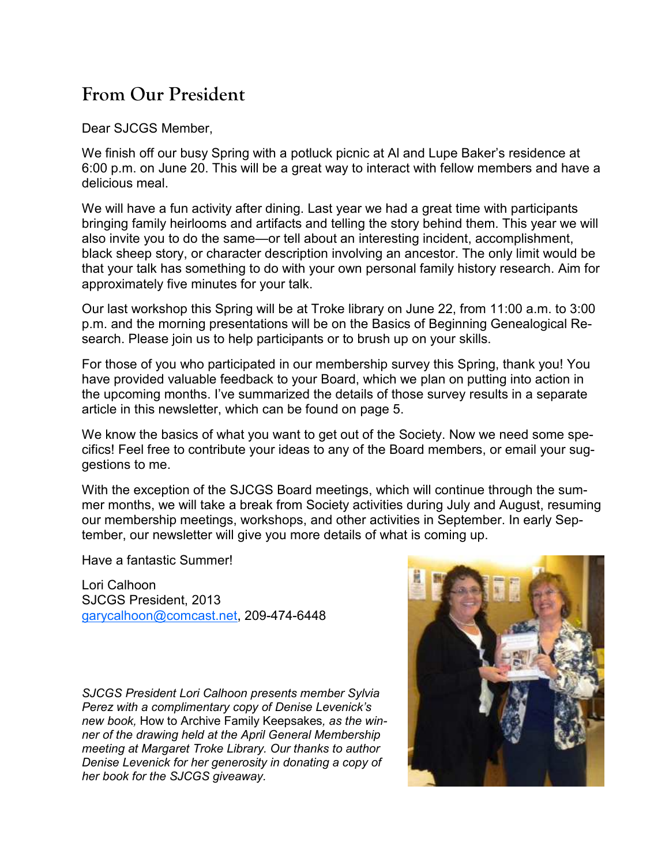## **From Our President**

Dear SJCGS Member,

We finish off our busy Spring with a potluck picnic at Al and Lupe Baker's residence at 6:00 p.m. on June 20. This will be a great way to interact with fellow members and have a delicious meal.

We will have a fun activity after dining. Last year we had a great time with participants bringing family heirlooms and artifacts and telling the story behind them. This year we will also invite you to do the same—or tell about an interesting incident, accomplishment, black sheep story, or character description involving an ancestor. The only limit would be that your talk has something to do with your own personal family history research. Aim for approximately five minutes for your talk.

Our last workshop this Spring will be at Troke library on June 22, from 11:00 a.m. to 3:00 p.m. and the morning presentations will be on the Basics of Beginning Genealogical Research. Please join us to help participants or to brush up on your skills.

For those of you who participated in our membership survey this Spring, thank you! You have provided valuable feedback to your Board, which we plan on putting into action in the upcoming months. I've summarized the details of those survey results in a separate article in this newsletter, which can be found on page 5.

We know the basics of what you want to get out of the Society. Now we need some specifics! Feel free to contribute your ideas to any of the Board members, or email your suggestions to me.

With the exception of the SJCGS Board meetings, which will continue through the summer months, we will take a break from Society activities during July and August, resuming our membership meetings, workshops, and other activities in September. In early September, our newsletter will give you more details of what is coming up.

Have a fantastic Summer!

Lori Calhoon SJCGS President, 2013 garycalhoon@comcast.net, 209-474-6448

*SJCGS President Lori Calhoon presents member Sylvia Perez with a complimentary copy of Denise Levenick's new book,* How to Archive Family Keepsakes*, as the winner of the drawing held at the April General Membership meeting at Margaret Troke Library. Our thanks to author Denise Levenick for her generosity in donating a copy of her book for the SJCGS giveaway.* 

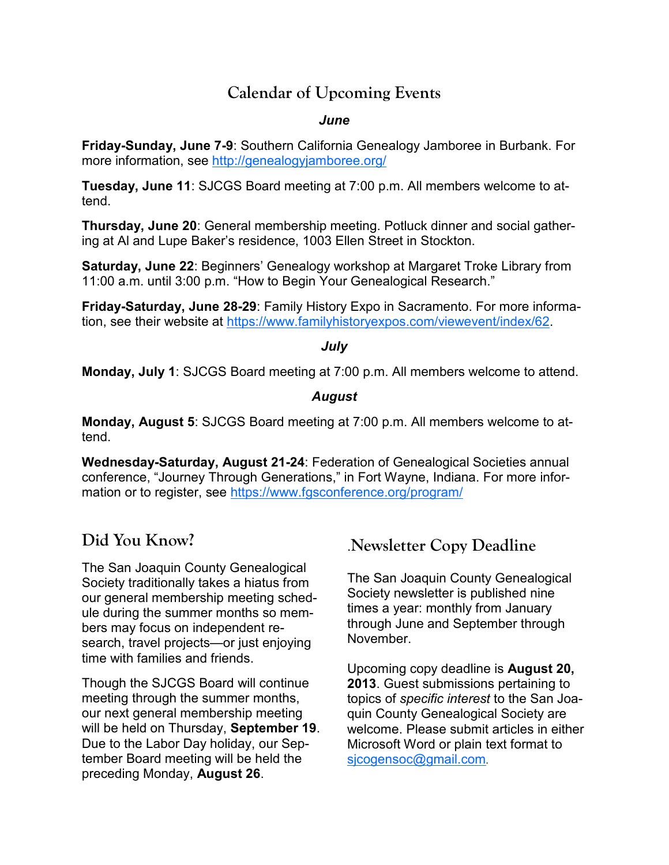### **Calendar of Upcoming Events**

#### *June*

**Friday-Sunday, June 7-9**: Southern California Genealogy Jamboree in Burbank. For more information, see http://genealogyjamboree.org/

**Tuesday, June 11**: SJCGS Board meeting at 7:00 p.m. All members welcome to attend.

**Thursday, June 20**: General membership meeting. Potluck dinner and social gathering at Al and Lupe Baker's residence, 1003 Ellen Street in Stockton.

**Saturday, June 22**: Beginners' Genealogy workshop at Margaret Troke Library from 11:00 a.m. until 3:00 p.m. "How to Begin Your Genealogical Research."

**Friday-Saturday, June 28-29**: Family History Expo in Sacramento. For more information, see their website at https://www.familyhistoryexpos.com/viewevent/index/62.

#### *July*

**Monday, July 1**: SJCGS Board meeting at 7:00 p.m. All members welcome to attend.

#### *August*

**Monday, August 5**: SJCGS Board meeting at 7:00 p.m. All members welcome to attend.

**Wednesday-Saturday, August 21-24**: Federation of Genealogical Societies annual conference, "Journey Through Generations," in Fort Wayne, Indiana. For more information or to register, see https://www.fgsconference.org/program/

## **Did You Know?**

The San Joaquin County Genealogical Society traditionally takes a hiatus from our general membership meeting schedule during the summer months so members may focus on independent research, travel projects—or just enjoying time with families and friends.

Though the SJCGS Board will continue meeting through the summer months, our next general membership meeting will be held on Thursday, **September 19**. Due to the Labor Day holiday, our September Board meeting will be held the preceding Monday, **August 26**.

## .**Newsletter Copy Deadline**

The San Joaquin County Genealogical Society newsletter is published nine times a year: monthly from January through June and September through November.

Upcoming copy deadline is **August 20, 2013**. Guest submissions pertaining to topics of *specific interest* to the San Joaquin County Genealogical Society are welcome. Please submit articles in either Microsoft Word or plain text format to sjcogensoc@gmail.com.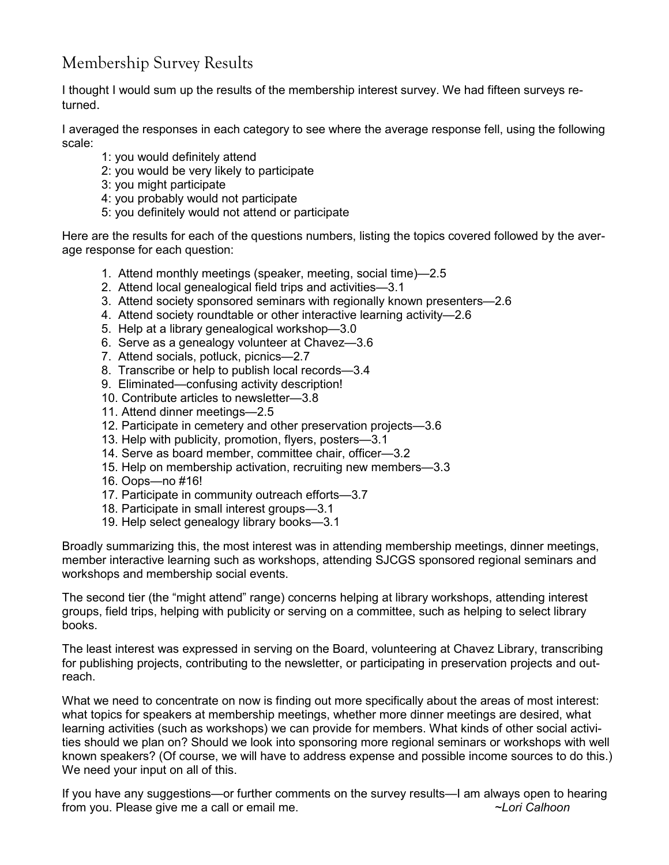## Membership Survey Results

I thought I would sum up the results of the membership interest survey. We had fifteen surveys returned.

I averaged the responses in each category to see where the average response fell, using the following scale:

- 1: you would definitely attend
- 2: you would be very likely to participate
- 3: you might participate
- 4: you probably would not participate
- 5: you definitely would not attend or participate

Here are the results for each of the questions numbers, listing the topics covered followed by the average response for each question:

- 1. Attend monthly meetings (speaker, meeting, social time)—2.5
- 2. Attend local genealogical field trips and activities—3.1
- 3. Attend society sponsored seminars with regionally known presenters—2.6
- 4. Attend society roundtable or other interactive learning activity—2.6
- 5. Help at a library genealogical workshop—3.0
- 6. Serve as a genealogy volunteer at Chavez—3.6
- 7. Attend socials, potluck, picnics—2.7
- 8. Transcribe or help to publish local records—3.4
- 9. Eliminated—confusing activity description!
- 10. Contribute articles to newsletter—3.8
- 11. Attend dinner meetings—2.5
- 12. Participate in cemetery and other preservation projects—3.6
- 13. Help with publicity, promotion, flyers, posters—3.1
- 14. Serve as board member, committee chair, officer—3.2
- 15. Help on membership activation, recruiting new members—3.3
- 16. Oops—no #16!
- 17. Participate in community outreach efforts—3.7
- 18. Participate in small interest groups—3.1
- 19. Help select genealogy library books—3.1

Broadly summarizing this, the most interest was in attending membership meetings, dinner meetings, member interactive learning such as workshops, attending SJCGS sponsored regional seminars and workshops and membership social events.

The second tier (the "might attend" range) concerns helping at library workshops, attending interest groups, field trips, helping with publicity or serving on a committee, such as helping to select library books.

The least interest was expressed in serving on the Board, volunteering at Chavez Library, transcribing for publishing projects, contributing to the newsletter, or participating in preservation projects and outreach.

What we need to concentrate on now is finding out more specifically about the areas of most interest: what topics for speakers at membership meetings, whether more dinner meetings are desired, what learning activities (such as workshops) we can provide for members. What kinds of other social activities should we plan on? Should we look into sponsoring more regional seminars or workshops with well known speakers? (Of course, we will have to address expense and possible income sources to do this.) We need your input on all of this.

If you have any suggestions—or further comments on the survey results—I am always open to hearing from you. Please give me a call or email me. *~Lori Calhoon*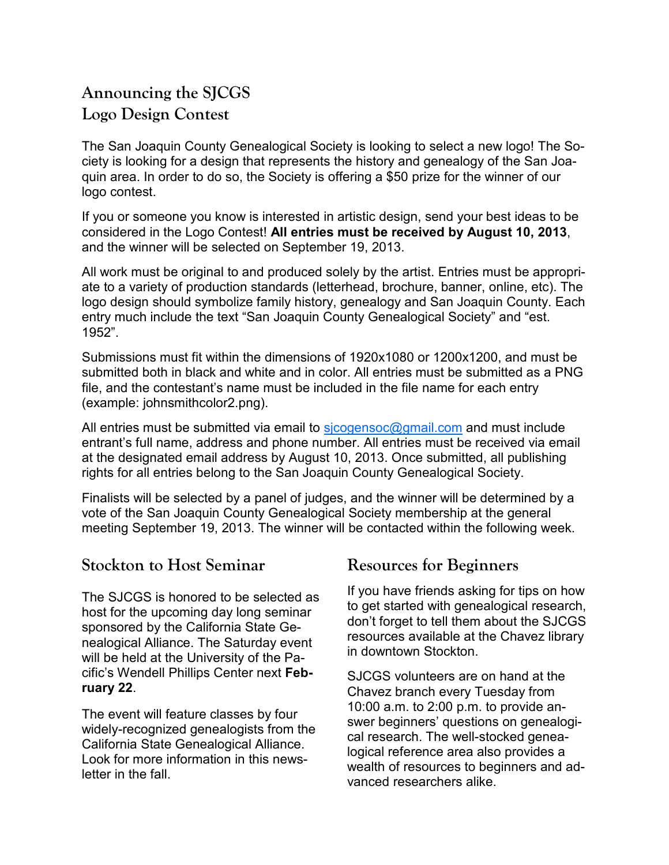## **Announcing the SJCGS Logo Design Contest**

The San Joaquin County Genealogical Society is looking to select a new logo! The Society is looking for a design that represents the history and genealogy of the San Joaquin area. In order to do so, the Society is offering a \$50 prize for the winner of our logo contest.

If you or someone you know is interested in artistic design, send your best ideas to be considered in the Logo Contest! **All entries must be received by August 10, 2013**, and the winner will be selected on September 19, 2013.

All work must be original to and produced solely by the artist. Entries must be appropriate to a variety of production standards (letterhead, brochure, banner, online, etc). The logo design should symbolize family history, genealogy and San Joaquin County. Each entry much include the text "San Joaquin County Genealogical Society" and "est. 1952".

Submissions must fit within the dimensions of 1920x1080 or 1200x1200, and must be submitted both in black and white and in color. All entries must be submitted as a PNG file, and the contestant's name must be included in the file name for each entry (example: johnsmithcolor2.png).

All entries must be submitted via email to  $s$  icogensoc@gmail.com and must include entrant's full name, address and phone number. All entries must be received via email at the designated email address by August 10, 2013. Once submitted, all publishing rights for all entries belong to the San Joaquin County Genealogical Society.

Finalists will be selected by a panel of judges, and the winner will be determined by a vote of the San Joaquin County Genealogical Society membership at the general meeting September 19, 2013. The winner will be contacted within the following week.

#### **Stockton to Host Seminar**

The SJCGS is honored to be selected as host for the upcoming day long seminar sponsored by the California State Genealogical Alliance. The Saturday event will be held at the University of the Pacific's Wendell Phillips Center next **February 22**.

The event will feature classes by four widely-recognized genealogists from the California State Genealogical Alliance. Look for more information in this newsletter in the fall.

#### **Resources for Beginners**

If you have friends asking for tips on how to get started with genealogical research, don't forget to tell them about the SJCGS resources available at the Chavez library in downtown Stockton.

SJCGS volunteers are on hand at the Chavez branch every Tuesday from 10:00 a.m. to 2:00 p.m. to provide answer beginners' questions on genealogical research. The well-stocked genealogical reference area also provides a wealth of resources to beginners and advanced researchers alike.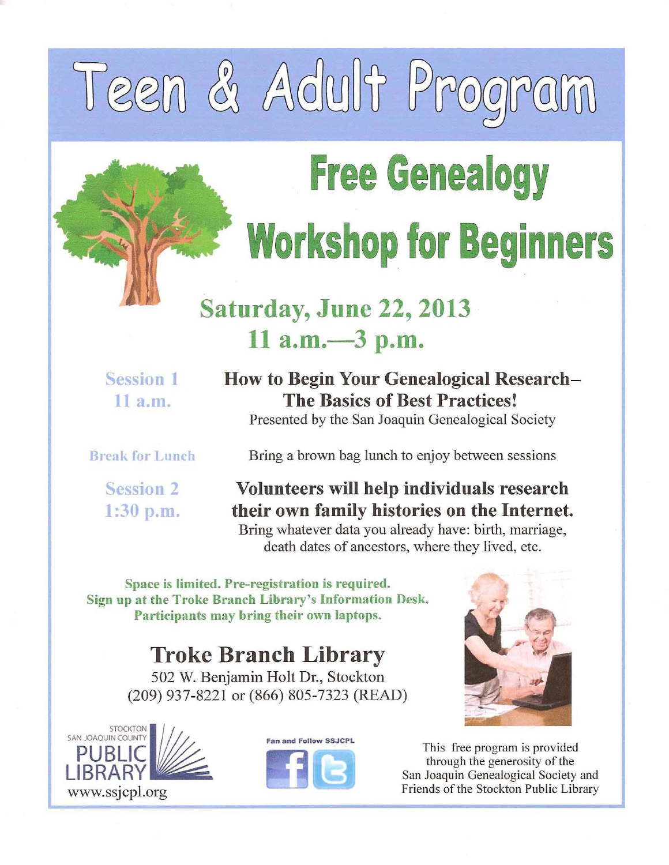# Teen & Adult Prog

## **Free Genealogy Workshop for Beginners**

## **Saturday, June 22, 2013** 11  $a.m. -3 p.m.$

**Session 1**  $11 a.m.$ 

**How to Begin Your Genealogical Research-The Basics of Best Practices!** Presented by the San Joaquin Genealogical Society

**Break for Lunch** 

**Session 2**  $1:30$  p.m. Bring a brown bag lunch to enjoy between sessions

Volunteers will help individuals research their own family histories on the Internet. Bring whatever data you already have: birth, marriage, death dates of ancestors, where they lived, etc.

Space is limited. Pre-registration is required. Sign up at the Troke Branch Library's Information Desk. Participants may bring their own laptops.

**Troke Branch Library** 

502 W. Benjamin Holt Dr., Stockton (209) 937-8221 or (866) 805-7323 (READ)







This free program is provided through the generosity of the San Joaquin Genealogical Society and Friends of the Stockton Public Library